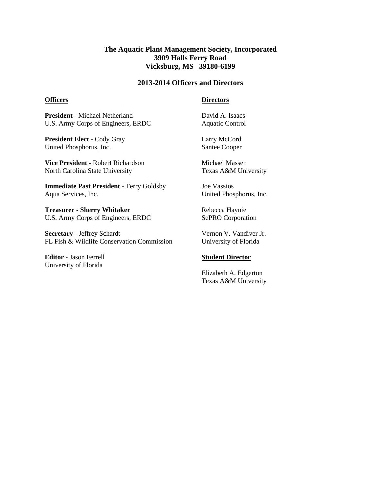# **The Aquatic Plant Management Society, Incorporated 3909 Halls Ferry Road Vicksburg, MS 39180-6199**

## **2013-2014 Officers and Directors**

#### **Officers**

## **Directors**

**President -** Michael Netherland U.S. Army Corps of Engineers, ERDC

**President Elect** - Cody Gray United Phosphorus, Inc.

**Vice President** - Robert Richardson North Carolina State University

**Immediate Past President** - Terry Goldsby Aqua Services, Inc.

**Treasurer - Sherry Whitaker** U.S. Army Corps of Engineers, ERDC

**Secretary -** Jeffrey Schardt FL Fish & Wildlife Conservation Commission

**Editor -** Jason Ferrell University of Florida

David A. Isaacs Aquatic Control

Larry McCord Santee Cooper

Michael Masser Texas A&M University

Joe Vassios United Phosphorus, Inc.

Rebecca Haynie SePRO Corporation

Vernon V. Vandiver Jr. University of Florida

#### **Student Director**

Elizabeth A. Edgerton Texas A&M University